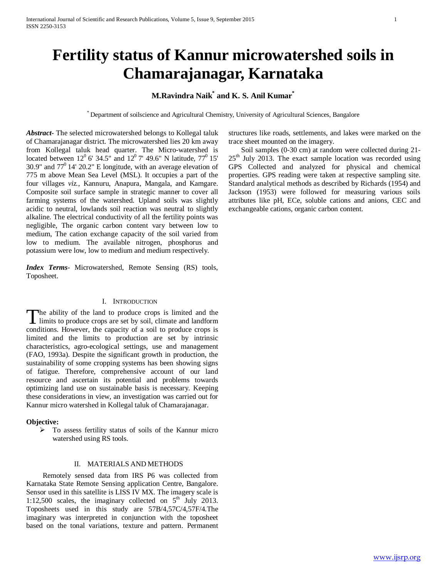# **Fertility status of Kannur microwatershed soils in Chamarajanagar, Karnataka**

### **M.Ravindra Naik\* and K. S. Anil Kumar\***

\* Department of soilscience and Agricultural Chemistry, University of Agricultural Sciences, Bangalore

*Abstract***-** The selected microwatershed belongs to Kollegal taluk of Chamarajanagar district. The microwatershed lies 20 km away from Kollegal taluk head quarter. The Micro-watershed is located between  $12^{\circ}$  6' 34.5" and  $12^{\circ}$  7' 49.6" N latitude,  $77^{\circ}$  15' 30.9" and  $77^{\circ}$  14' 20.2" E longitude, with an average elevation of 775 m above Mean Sea Level (MSL). It occupies a part of the four villages *viz.*, Kannuru, Anapura, Mangala, and Kamgare. Composite soil surface sample in strategic manner to cover all farming systems of the watershed. Upland soils was slightly acidic to neutral, lowlands soil reaction was neutral to slightly alkaline. The electrical conductivity of all the fertility points was negligible, The organic carbon content vary between low to medium, The cation exchange capacity of the soil varied from low to medium. The available nitrogen, phosphorus and potassium were low, low to medium and medium respectively.

*Index Terms*- Microwatershed, Remote Sensing (RS) tools, Toposheet.

### I. INTRODUCTION

he ability of the land to produce crops is limited and the limits to produce crops are set by soil, climate and landform The ability of the land to produce crops is limited and the limits to produce crops are set by soil, climate and landform conditions. However, the capacity of a soil to produce crops is limited and the limits to production are set by intrinsic characteristics, agro-ecological settings, use and management (FAO, 1993a). Despite the significant growth in production, the sustainability of some cropping systems has been showing signs of fatigue. Therefore, comprehensive account of our land resource and ascertain its potential and problems towards optimizing land use on sustainable basis is necessary. Keeping these considerations in view, an investigation was carried out for Kannur micro watershed in Kollegal taluk of Chamarajanagar.

#### **Objective:**

 $\triangleright$  To assess fertility status of soils of the Kannur micro watershed using RS tools.

#### II. MATERIALS AND METHODS

 Remotely sensed data from IRS P6 was collected from Karnataka State Remote Sensing application Centre, Bangalore. Sensor used in this satellite is LISS IV MX. The imagery scale is 1:12,500 scales, the imaginary collected on  $5<sup>th</sup>$  July 2013. Toposheets used in this study are 57B/4,57C/4,57F/4.The imaginary was interpreted in conjunction with the toposheet based on the tonal variations, texture and pattern. Permanent structures like roads, settlements, and lakes were marked on the trace sheet mounted on the imagery.

 Soil samples (0-30 cm) at random were collected during 21-  $25<sup>th</sup>$  July 2013. The exact sample location was recorded using GPS Collected and analyzed for physical and chemical properties. GPS reading were taken at respective sampling site. Standard analytical methods as described by Richards (1954) and Jackson (1953) were followed for measuring various soils attributes like pH, ECe, soluble cations and anions, CEC and exchangeable cations, organic carbon content.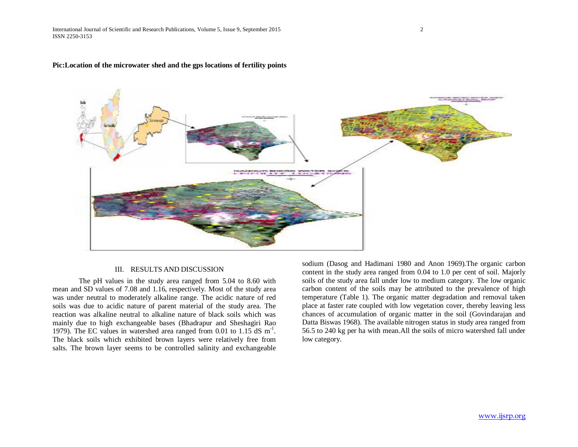#### **Pic:Location of the microwater shed and the gps locations of fertility points**

#### III. RESULTS AND DISCUSSION

The pH values in the study area ranged from 5.04 to 8.60 with mean and SD values of 7.08 and 1.16, respectively. Most of the study area was under neutral to moderately alkaline range. The acidic nature of red soils was due to acidic nature of parent material of the study area. The reaction was alkaline neutral to alkaline nature of black soils which was mainly due to high exchangeable bases (Bhadrapur and Sheshagiri Rao 1979). The EC values in watershed area ranged from 0.01 to 1.15 dS m<sup>-1</sup>. The black soils which exhibited brown layers were relatively free from salts. The brown layer seems to be controlled salinity and exchangeable

sodium (Dasog and Hadimani 1980 and Anon 1969).The organic carbon content in the study area ranged from 0.04 to 1.0 per cent of soil. Majorly soils of the study area fall under low to medium category. The low organic carbon content of the soils may be attributed to the prevalence of high temperature (Table 1). The organic matter degradation and removal taken place at faster rate coupled with low vegetation cover, thereby leaving less chances of accumulation of organic matter in the soil (Govindarajan and Datta Biswas 1968). The available nitrogen status in study area ranged from 56.5 to 240 kg per ha with mean.All the soils of micro watershed fall under low category.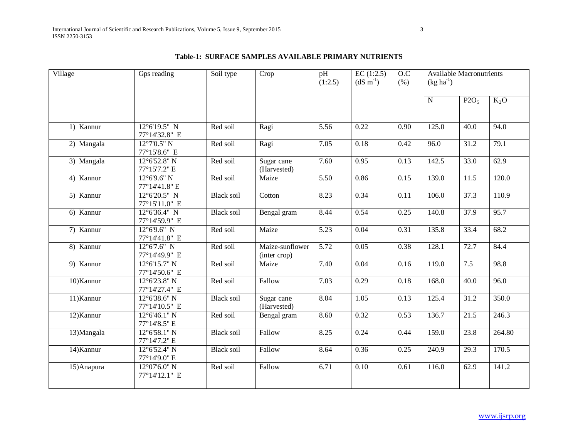| Village     | Gps reading                             | Soil type         | Crop                            | pH<br>(1:2.5)     | EC(1:2.5)<br>$(dS \; m^{-1})$ | 0.C<br>(% ) | <b>Available Macronutrients</b><br>$(kg ha^{-1})$ |                  |        |  |
|-------------|-----------------------------------------|-------------------|---------------------------------|-------------------|-------------------------------|-------------|---------------------------------------------------|------------------|--------|--|
|             |                                         |                   |                                 |                   |                               |             | $\overline{N}$                                    | P2O <sub>5</sub> | $K_2O$ |  |
| 1) Kannur   | $12^{\circ}6'19.5''$ N<br>77°14'32.8" E | Red soil          | Ragi                            | 5.56              | 0.22                          | 0.90        | 125.0                                             | 40.0             | 94.0   |  |
| 2) Mangala  | $12^{\circ}7'0.5''$ N<br>77°15'8.6" E   | Red soil          | Ragi                            | 7.05              | 0.18                          | 0.42        | 96.0                                              | 31.2             | 79.1   |  |
| 3) Mangala  | 12°6'52.8" N<br>77°15'7.2" E            | Red soil          | Sugar cane<br>(Harvested)       | 7.60              | 0.95                          | 0.13        | 142.5                                             | 33.0             | 62.9   |  |
| 4) Kannur   | $12^{\circ}6'9.6''$ N<br>77°14'41.8" E  | Red soil          | Maize                           | $\overline{5.50}$ | 0.86                          | 0.15        | 139.0                                             | 11.5             | 120.0  |  |
| 5) Kannur   | 12°6'20.5" N<br>77°15'11.0" E           | <b>Black soil</b> | Cotton                          | 8.23              | 0.34                          | 0.11        | 106.0                                             | 37.3             | 110.9  |  |
| 6) Kannur   | $12^{\circ}6'36.4''$ N<br>77°14'59.9" E | <b>Black soil</b> | Bengal gram                     | 8.44              | 0.54                          | 0.25        | 140.8                                             | 37.9             | 95.7   |  |
| 7) Kannur   | $12^{\circ}6'9.6''$ N<br>77°14'41.8" E  | Red soil          | Maize                           | $\overline{5.23}$ | 0.04                          | 0.31        | 135.8                                             | 33.4             | 68.2   |  |
| 8) Kannur   | $12^{\circ}6'7.6''$ N<br>77°14'49.9" E  | Red soil          | Maize-sunflower<br>(inter crop) | $\overline{5.72}$ | 0.05                          | 0.38        | 128.1                                             | 72.7             | 84.4   |  |
| 9) Kannur   | $12^{\circ}6'15.7''$ N<br>77°14'50.6" E | Red soil          | Maize                           | 7.40              | 0.04                          | 0.16        | 119.0                                             | 7.5              | 98.8   |  |
| 10)Kannur   | $12^{\circ}6'23.8''$ N<br>77°14'27.4" E | Red soil          | Fallow                          | 7.03              | 0.29                          | 0.18        | 168.0                                             | 40.0             | 96.0   |  |
| 11) Kannur  | $12^{\circ}6'38.6''$ N<br>77°14'10.5" E | <b>Black soil</b> | Sugar cane<br>(Harvested)       | 8.04              | 1.05                          | 0.13        | 125.4                                             | 31.2             | 350.0  |  |
| 12) Kannur  | $12^{\circ}6'46.1''$ N<br>77°14'8.5" E  | Red soil          | Bengal gram                     | 8.60              | 0.32                          | 0.53        | 136.7                                             | 21.5             | 246.3  |  |
| 13)Mangala  | $12^{\circ}6'58.1''$ N<br>77°14'7.2" E  | <b>Black soil</b> | Fallow                          | 8.25              | 0.24                          | 0.44        | 159.0                                             | 23.8             | 264.80 |  |
| 14) Kannur  | $12^{\circ}6'52.4"$ N<br>77°14'9.0" E   | <b>Black soil</b> | Fallow                          | 8.64              | 0.36                          | 0.25        | 240.9                                             | 29.3             | 170.5  |  |
| 15) Anapura | $12^{\circ}07'6.0''$ N<br>77°14'12.1" E | Red soil          | Fallow                          | 6.71              | 0.10                          | 0.61        | 116.0                                             | 62.9             | 141.2  |  |

### **Table-1: SURFACE SAMPLES AVAILABLE PRIMARY NUTRIENTS**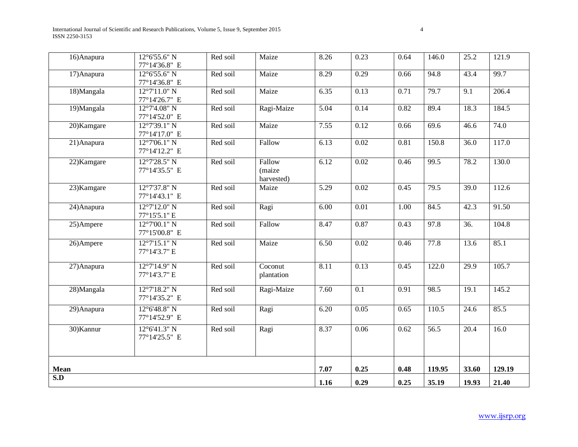| $\overline{16}$ Anapura | $12^{\circ}6'55.6''$ N<br>77°14'36.8" E | Red soil | Maize                          | 8.26 | 0.23              | 0.64 | 146.0  | 25.2              | 121.9  |
|-------------------------|-----------------------------------------|----------|--------------------------------|------|-------------------|------|--------|-------------------|--------|
| 17) Anapura             | $12^{\circ}6'55.6''$ N<br>77°14'36.8" E | Red soil | Maize                          | 8.29 | 0.29              | 0.66 | 94.8   | 43.4              | 99.7   |
| $18)$ Mangala           | $12^{\circ}7'11.0''$ N<br>77°14'26.7" E | Red soil | Maize                          | 6.35 | 0.13              | 0.71 | 79.7   | $\overline{9.1}$  | 206.4  |
| 19)Mangala              | $12^{\circ}7'4.08''$ N<br>77°14'52.0" E | Red soil | Ragi-Maize                     | 5.04 | 0.14              | 0.82 | 89.4   | 18.3              | 184.5  |
| 20)Kamgare              | $12^{\circ}7'39.1''$ N<br>77°14'17.0" E | Red soil | Maize                          | 7.55 | 0.12              | 0.66 | 69.6   | 46.6              | 74.0   |
| 21) Anapura             | $12^{\circ}7'06.1"$ N<br>77°14'12.2" E  | Red soil | Fallow                         | 6.13 | 0.02              | 0.81 | 150.8  | 36.0              | 117.0  |
| 22) Kamgare             | $12^{\circ}7'28.5''$ N<br>77°14'35.5" E | Red soil | Fallow<br>(maize<br>harvested) | 6.12 | 0.02              | 0.46 | 99.5   | 78.2              | 130.0  |
| 23) Kamgare             | $12^{\circ}7'37.8''$ N<br>77°14'43.1" E | Red soil | Maize                          | 5.29 | 0.02              | 0.45 | 79.5   | 39.0              | 112.6  |
| 24) Anapura             | $12^{\circ}7'12.0''$ N<br>77°15'5.1" E  | Red soil | Ragi                           | 6.00 | $\overline{0.01}$ | 1.00 | 84.5   | 42.3              | 91.50  |
| 25)Ampere               | $12^{\circ}7'00.1"$ N<br>77°15'00.8" E  | Red soil | Fallow                         | 8.47 | 0.87              | 0.43 | 97.8   | $\overline{36}$ . | 104.8  |
| 26)Ampere               | $12^{\circ}7'15.1''$ N<br>77°14'3.7" E  | Red soil | Maize                          | 6.50 | 0.02              | 0.46 | 77.8   | 13.6              | 85.1   |
| 27) Anapura             | $12^{\circ}7'14.9''$ N<br>77°14'3.7" E  | Red soil | Coconut<br>plantation          | 8.11 | 0.13              | 0.45 | 122.0  | 29.9              | 105.7  |
| $28)$ Mangala           | $12^{\circ}7'18.2"$ N<br>77°14'35.2" E  | Red soil | Ragi-Maize                     | 7.60 | 0.1               | 0.91 | 98.5   | 19.1              | 145.2  |
| 29) Anapura             | $12^{\circ}6'48.8''$ N<br>77°14'52.9" E | Red soil | Ragi                           | 6.20 | 0.05              | 0.65 | 110.5  | 24.6              | 85.5   |
| 30) Kannur              | $12^{\circ}6'41.3''$ N<br>77°14'25.5" E | Red soil | Ragi                           | 8.37 | 0.06              | 0.62 | 56.5   | $\overline{20.4}$ | 16.0   |
| Mean                    |                                         |          |                                | 7.07 | 0.25              | 0.48 | 119.95 | 33.60             | 129.19 |
| S.D                     |                                         |          |                                | 1.16 | 0.29              | 0.25 | 35.19  | 19.93             | 21.40  |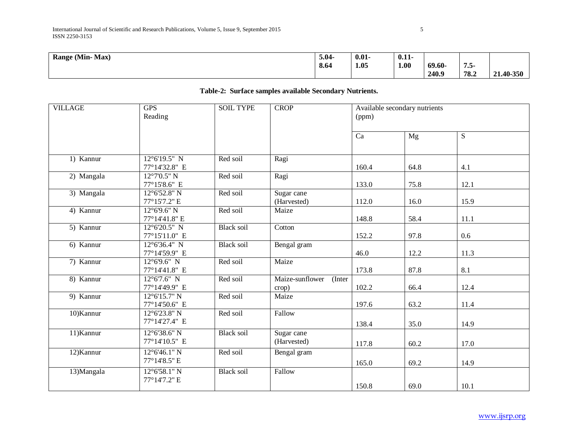| Range (Min-Max) | 5.04 | $0.01 -$ | $0.11 -$<br>$\sim$ $\sim$ |       |      |           |
|-----------------|------|----------|---------------------------|-------|------|-----------|
|                 | 8.64 | 1.05     | 1.00                      | 69.60 | $ -$ |           |
|                 |      |          |                           | 240.9 | 78.2 | 21.40-350 |

| <b>VILLAGE</b> | <b>GPS</b><br>Reading                   | <b>SOIL TYPE</b>  | <b>CROP</b>                        | (ppm) | Available secondary nutrients |      |
|----------------|-----------------------------------------|-------------------|------------------------------------|-------|-------------------------------|------|
|                |                                         |                   |                                    | Ca    | Mg                            | S    |
| 1) Kannur      | $12^{\circ}6'19.5''$ N<br>77°14'32.8" E | Red soil          | Ragi                               | 160.4 | 64.8                          | 4.1  |
| 2) Mangala     | $12^{\circ}7'0.5''$ N<br>77°15'8.6" E   | Red soil          | Ragi                               | 133.0 | 75.8                          | 12.1 |
| 3) Mangala     | 12°6'52.8" N<br>77°15'7.2" E            | Red soil          | Sugar cane<br>(Harvested)          | 112.0 | 16.0                          | 15.9 |
| 4) Kannur      | $12^{\circ}6'9.6''$ N<br>77°14'41.8" E  | Red soil          | Maize                              | 148.8 | 58.4                          | 11.1 |
| 5) Kannur      | $12^{\circ}6'20.5''$ N<br>77°15'11.0" E | <b>Black soil</b> | Cotton                             | 152.2 | 97.8                          | 0.6  |
| 6) Kannur      | $12^{\circ}6'36.4''$ N<br>77°14'59.9" E | <b>Black soil</b> | Bengal gram                        | 46.0  | 12.2                          | 11.3 |
| 7) Kannur      | $12^{\circ}6'9.6''$ N<br>77°14'41.8" E  | Red soil          | Maize                              | 173.8 | 87.8                          | 8.1  |
| $8)$ Kannur    | $12^{\circ}6'7.6''$ N<br>77°14'49.9" E  | Red soil          | Maize-sunflower<br>(Inter<br>crop) | 102.2 | 66.4                          | 12.4 |
| 9) Kannur      | $12^{\circ}6'15.7''$ N<br>77°14'50.6" E | Red soil          | Maize                              | 197.6 | 63.2                          | 11.4 |
| 10) Kannur     | 12°6'23.8" N<br>77°14'27.4" E           | Red soil          | Fallow                             | 138.4 | 35.0                          | 14.9 |
| 11) Kannur     | $12^{\circ}6'38.6''$ N<br>77°14'10.5" E | <b>Black soil</b> | Sugar cane<br>(Harvested)          | 117.8 | 60.2                          | 17.0 |
| 12) Kannur     | $12^{\circ}6'46.1''$ N<br>77°14'8.5" E  | Red soil          | Bengal gram                        | 165.0 | 69.2                          | 14.9 |
| 13) Mangala    | $12^{\circ}6'58.1''$ N<br>77°14'7.2" E  | <b>Black soil</b> | Fallow                             | 150.8 | 69.0                          | 10.1 |

### **Table-2: Surface samples available Secondary Nutrients.**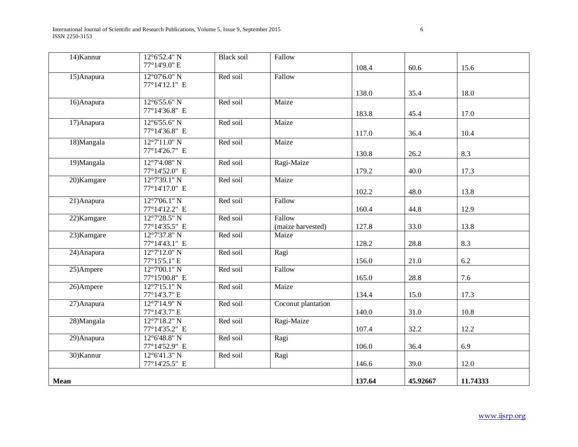International Journal of Scientific and Research Publications, Volume 5, Issue 9, September 2015 6 ISSN 2250-3153

| 14) Kannur  | $12^{\circ}6'52.4"$ N                   | <b>Black soil</b> | Fallow             |        |          |          |
|-------------|-----------------------------------------|-------------------|--------------------|--------|----------|----------|
|             | 77°14'9.0" E                            |                   |                    | 108.4  | 60.6     | 15.6     |
| 15) Anapura | $12^{\circ}07'6.0''$ N                  | Red soil          | Fallow             |        |          |          |
|             | 77°14'12.1" E                           |                   |                    |        |          |          |
|             |                                         |                   |                    | 138.0  | 35.4     | 18.0     |
| 16) Anapura | $12^{\circ}6'55.6''$ N                  | Red soil          | Maize              |        |          |          |
|             | 77°14'36.8" E                           |                   |                    | 183.8  | 45.4     | 17.0     |
| 17) Anapura | $12^{\circ}6'55.6''$ N                  | Red soil          | Maize              |        |          |          |
|             | 77°14'36.8" E                           |                   |                    | 117.0  | 36.4     | 10.4     |
| 18)Mangala  | 12°7'11.0" N                            | Red soil          | Maize              |        |          |          |
|             | 77°14'26.7" E                           |                   |                    | 130.8  | 26.2     | 8.3      |
| 19)Mangala  | $12^{\circ}7'4.08''$ N                  | Red soil          | Ragi-Maize         |        |          |          |
|             | 77°14'52.0" E                           |                   |                    | 179.2  | 40.0     | 17.3     |
| 20)Kamgare  | $12^{\circ}7'39.1''$ N                  | Red soil          | Maize              |        |          |          |
|             | 77°14'17.0" E                           |                   |                    | 102.2  | 48.0     | 13.8     |
| 21) Anapura | $12^{\circ}7'06.1''$ N                  | Red soil          | Fallow             |        |          |          |
|             | 77°14'12.2" E                           |                   |                    | 160.4  | 44.8     | 12.9     |
| 22) Kamgare | 12°7'28.5" N                            | Red soil          | Fallow             |        |          |          |
|             | 77°14'35.5" E                           |                   | (maize harvested)  | 127.8  | 33.0     | 13.8     |
| 23) Kamgare | 12°7'37.8" N                            | Red soil          | Maize              |        |          |          |
|             | 77°14'43.1" E                           |                   |                    | 128.2  | 28.8     | 8.3      |
| 24) Anapura | $12^{\circ}7'12.0''$ N                  | Red soil          | Ragi               |        |          |          |
|             | 77°15'5.1" E                            |                   |                    | 156.0  | 21.0     | 6.2      |
| 25)Ampere   | $12^{\circ}7'00.1''$ N                  | Red soil          | Fallow             |        |          |          |
|             | 77°15'00.8" E<br>$12^{\circ}7'15.1''$ N | Red soil          | Maize              | 165.0  | 28.8     | 7.6      |
| 26)Ampere   | 77°14'3.7" E                            |                   |                    | 134.4  | 15.0     | 17.3     |
| 27) Anapura | $12^{\circ}7'14.9''$ N                  | Red soil          | Coconut plantation |        |          |          |
|             | 77°14'3.7" E                            |                   |                    | 140.0  | 31.0     | 10.8     |
| 28) Mangala | $12^{\circ}7'18.2"$ N                   | Red soil          | Ragi-Maize         |        |          |          |
|             | 77°14'35.2" E                           |                   |                    | 107.4  | 32.2     | 12.2     |
| 29) Anapura | $12^{\circ}6'48.8''$ N                  | Red soil          | Ragi               |        |          |          |
|             | 77°14'52.9" E                           |                   |                    | 106.0  | 36.4     | 6.9      |
| 30) Kannur  | $12^{\circ}6'41.3''$ N                  | Red soil          | Ragi               |        |          |          |
|             | 77°14'25.5" E                           |                   |                    | 146.6  | 39.0     | 12.0     |
|             |                                         |                   |                    |        |          |          |
| Mean        |                                         |                   |                    | 137.64 | 45.92667 | 11.74333 |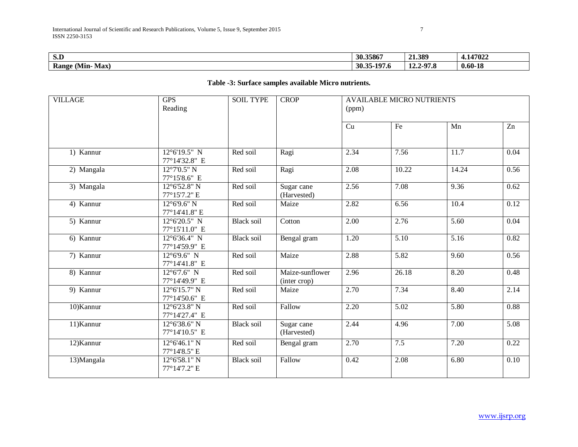| $\sim$ $\sim$<br>           | 30.35867                             | 21.389                          | 147022      |
|-----------------------------|--------------------------------------|---------------------------------|-------------|
| Max<br><b>Range</b><br>Min- | $-10^{-7}$<br>30.35<br>. .<br>-177.0 | $2-97.5$<br>71.O<br><b>14.4</b> | $0.60 - 18$ |

## **Table -3: Surface samples available Micro nutrients.**

| <b>VILLAGE</b> | <b>GPS</b><br>Reading                   | <b>SOIL TYPE</b>  | <b>CROP</b>                     | <b>AVAILABLE MICRO NUTRIENTS</b><br>(ppm) |       |       |      |  |  |
|----------------|-----------------------------------------|-------------------|---------------------------------|-------------------------------------------|-------|-------|------|--|--|
|                |                                         |                   |                                 | Cu                                        | Fe    | Mn    | Zn   |  |  |
| 1) Kannur      | 12°6'19.5" N<br>77°14'32.8" E           | Red soil          | Ragi                            | 2.34                                      | 7.56  | 11.7  | 0.04 |  |  |
| 2) Mangala     | $12^{\circ}7'0.5"$ N<br>77°15'8.6" E    | Red soil          | Ragi                            | 2.08                                      | 10.22 | 14.24 | 0.56 |  |  |
| 3) Mangala     | 12°6'52.8" N<br>77°15'7.2" E            | Red soil          | Sugar cane<br>(Harvested)       | 2.56                                      | 7.08  | 9.36  | 0.62 |  |  |
| 4) Kannur      | $12^{\circ}6'9.6''$ N<br>77°14'41.8" E  | Red soil          | Maize                           | 2.82                                      | 6.56  | 10.4  | 0.12 |  |  |
| 5) Kannur      | 12°6'20.5" N<br>77°15'11.0" E           | <b>Black soil</b> | Cotton                          | 2.00                                      | 2.76  | 5.60  | 0.04 |  |  |
| 6) Kannur      | $12^{\circ}6'36.4''$ N<br>77°14'59.9" E | <b>Black soil</b> | Bengal gram                     | $\overline{1.20}$                         | 5.10  | 5.16  | 0.82 |  |  |
| 7) Kannur      | $12^{\circ}6'9.6''$ N<br>77°14'41.8" E  | Red soil          | Maize                           | 2.88                                      | 5.82  | 9.60  | 0.56 |  |  |
| 8) Kannur      | $12^{\circ}6'7.6''$ N<br>77°14'49.9" E  | Red soil          | Maize-sunflower<br>(inter crop) | 2.96                                      | 26.18 | 8.20  | 0.48 |  |  |
| 9) Kannur      | $12^{\circ}6'15.7"$ N<br>77°14'50.6" E  | Red soil          | Maize                           | 2.70                                      | 7.34  | 8.40  | 2.14 |  |  |
| 10) Kannur     | $12^{\circ}6'23.8"$ N<br>77°14'27.4" E  | Red soil          | Fallow                          | 2.20                                      | 5.02  | 5.80  | 0.88 |  |  |
| 11) Kannur     | 12°6'38.6" N<br>77°14'10.5" E           | Black soil        | Sugar cane<br>(Harvested)       | 2.44                                      | 4.96  | 7.00  | 5.08 |  |  |
| 12) Kannur     | $12^{\circ}6'46.1''$ N<br>77°14'8.5" E  | Red soil          | Bengal gram                     | 2.70                                      | 7.5   | 7.20  | 0.22 |  |  |
| 13) Mangala    | 12°6'58.1" N<br>77°14'7.2" E            | <b>Black soil</b> | Fallow                          | 0.42                                      | 2.08  | 6.80  | 0.10 |  |  |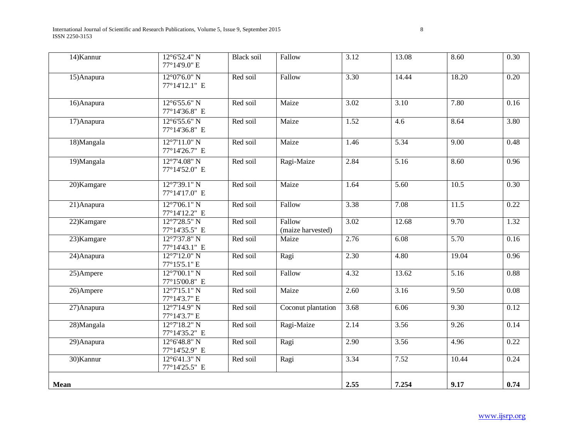International Journal of Scientific and Research Publications, Volume 5, Issue 9, September 2015 8 ISSN 2250-3153

| 14) Kannur  | $12^{\circ}6'52.4"$ N<br>77°14'9.0" E   | <b>Black soil</b> | Fallow                      | 3.12               | 13.08             | 8.60  | 0.30 |
|-------------|-----------------------------------------|-------------------|-----------------------------|--------------------|-------------------|-------|------|
| 15) Anapura | $12^{\circ}07'6.0''$ N<br>77°14'12.1" E | Red soil          | Fallow                      | 3.30               | 14.44             | 18.20 | 0.20 |
| 16) Anapura | $12^{\circ}6'55.6''$ N<br>77°14'36.8" E | Red soil          | Maize                       | 3.02               | 3.10              | 7.80  | 0.16 |
| 17) Anapura | $12^{\circ}6'55.6''$ N<br>77°14'36.8" E | Red soil          | Maize                       | 1.52               | $\overline{4.6}$  | 8.64  | 3.80 |
| 18)Mangala  | $12^{\circ}7'11.0''$ N<br>77°14'26.7" E | Red soil          | Maize                       | $\frac{1.46}{5.6}$ | $\overline{5.34}$ | 9.00  | 0.48 |
| 19) Mangala | $12^{\circ}7'4.08''$ N<br>77°14'52.0" E | Red soil          | Ragi-Maize                  | 2.84               | 5.16              | 8.60  | 0.96 |
| 20)Kamgare  | $12^{\circ}7'39.1''$ N<br>77°14'17.0" E | Red soil          | Maize                       | 1.64               | $\overline{5.60}$ | 10.5  | 0.30 |
| 21) Anapura | $12^{\circ}7'06.1''$ N<br>77°14'12.2" E | Red soil          | Fallow                      | 3.38               | 7.08              | 11.5  | 0.22 |
| 22) Kamgare | 12°7'28.5" N<br>77°14'35.5" E           | Red soil          | Fallow<br>(maize harvested) | 3.02               | 12.68             | 9.70  | 1.32 |
| 23) Kamgare | 12°7'37.8" N<br>77°14'43.1" E           | Red soil          | Maize                       | 2.76               | 6.08              | 5.70  | 0.16 |
| 24) Anapura | 12°7'12.0" N<br>77°15'5.1" E            | Red soil          | Ragi                        | 2.30               | 4.80              | 19.04 | 0.96 |
| 25)Ampere   | $12^{\circ}7'00.1''$ N<br>77°15'00.8" E | Red soil          | Fallow                      | 4.32               | 13.62             | 5.16  | 0.88 |
| 26)Ampere   | $12^{\circ}7'15.1''$ N<br>77°14'3.7" E  | Red soil          | Maize                       | 2.60               | 3.16              | 9.50  | 0.08 |
| 27) Anapura | $12^{\circ}7'14.9''$ N<br>77°14'3.7" E  | Red soil          | Coconut plantation          | 3.68               | 6.06              | 9.30  | 0.12 |
| 28)Mangala  | 12°7'18.2" N<br>77°14'35.2" E           | Red soil          | Ragi-Maize                  | 2.14               | 3.56              | 9.26  | 0.14 |
| 29) Anapura | $12^{\circ}6'48.8''$ N<br>77°14'52.9" E | Red soil          | Ragi                        | 2.90               | 3.56              | 4.96  | 0.22 |
| 30) Kannur  | $12^{\circ}6'41.3''$ N<br>77°14'25.5" E | Red soil          | Ragi                        | 3.34               | 7.52              | 10.44 | 0.24 |
| Mean        |                                         |                   |                             | 2.55               | 7.254             | 9.17  | 0.74 |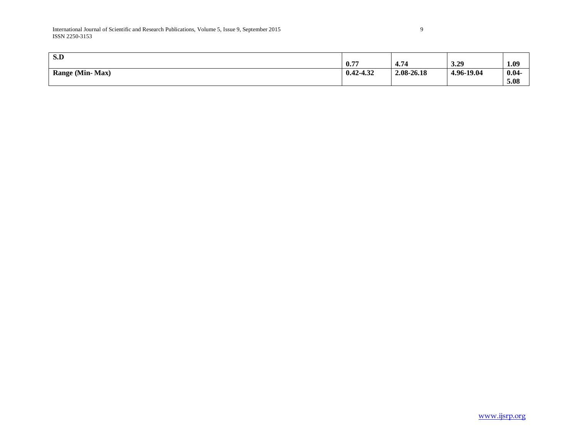| S.D                    | 0.77          | 4.74       | 3.29       | 1.09             |
|------------------------|---------------|------------|------------|------------------|
| <b>Range (Min-Max)</b> | $0.42 - 4.32$ | 2.08-26.18 | 4.96-19.04 | $0.04 -$<br>5.08 |